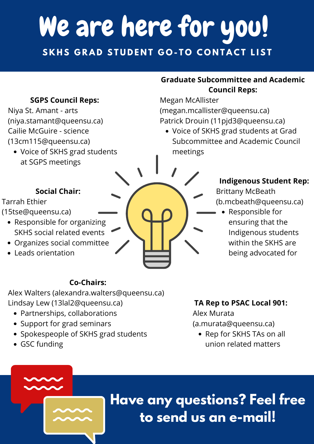## **Have any questions? Feel free to send us an e-mail!**

- Partnerships, collaborations
- Support for grad seminars
- Spokespeople of SKHS grad students
- GSC funding

## **Co-Chairs:**

Alex Walters (alexandra.walters@queensu.ca) Lindsay Lew (13lal2@queensu.ca)

Voice of SKHS grad students at SGPS meetings

> • Rep for SKHS TAs on all union related matters

# We are here for you! SKHS GRAD STUDENT GO-TO CONTACT LIST

## **SGPS Council Reps:**

• Responsible for organizing SKHS social related events

Niya St. Amant - arts (niya.stamant@queensu.ca) Cailie McGuire - science (13cm115@queensu.ca)

Voice of SKHS grad students at Grad Subcommittee and Academic Council meetings

## **Graduate Subcommittee and Academic Council Reps:**

Megan McAllister (megan.mcallister@queensu.ca) Patrick Drouin (11pjd3@queensu.ca)

## **TA Rep to PSAC Local 901:**

Alex Murata (a.murata@queensu.ca)

- Organizes social committee
- Leads orientation



### **Social Chair:**

Tarrah Ethier

(15tse@queensu.ca)  $\qquad \qquad \qquad \qquad$   $\qquad \qquad$   $\qquad \qquad$   $\qquad \qquad$   $\qquad \qquad$  Responsible for

ensuring that the Indigenous students

> within the SKHS are being advocated for

## **Indigenous Student Rep:**

Brittany McBeath (b.mcbeath@queensu.ca)